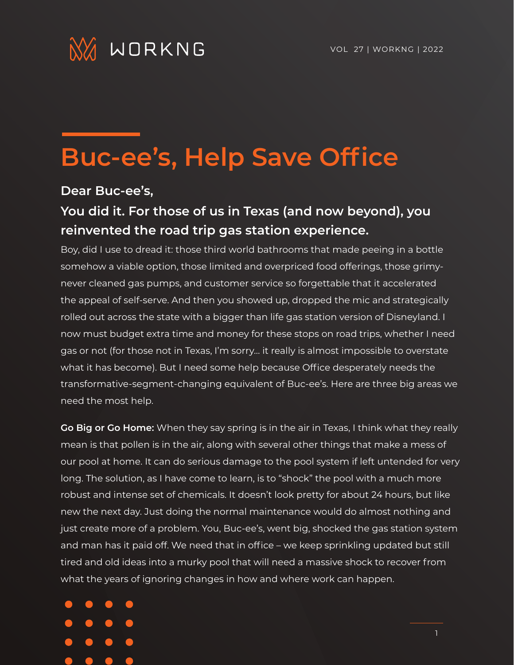

## **Buc-ee's, Help Save Office**

## **Dear Buc-ee's,**

## **You did it. For those of us in Texas (and now beyond), you reinvented the road trip gas station experience.**

Boy, did I use to dread it: those third world bathrooms that made peeing in a bottle somehow a viable option, those limited and overpriced food offerings, those grimynever cleaned gas pumps, and customer service so forgettable that it accelerated the appeal of self-serve. And then you showed up, dropped the mic and strategically rolled out across the state with a bigger than life gas station version of Disneyland. I now must budget extra time and money for these stops on road trips, whether I need gas or not (for those not in Texas, I'm sorry… it really is almost impossible to overstate what it has become). But I need some help because Office desperately needs the transformative-segment-changing equivalent of Buc-ee's. Here are three big areas we need the most help.

**Go Big or Go Home:** When they say spring is in the air in Texas, I think what they really mean is that pollen is in the air, along with several other things that make a mess of our pool at home. It can do serious damage to the pool system if left untended for very long. The solution, as I have come to learn, is to "shock" the pool with a much more robust and intense set of chemicals. It doesn't look pretty for about 24 hours, but like new the next day. Just doing the normal maintenance would do almost nothing and just create more of a problem. You, Buc-ee's, went big, shocked the gas station system and man has it paid off. We need that in office – we keep sprinkling updated but still tired and old ideas into a murky pool that will need a massive shock to recover from what the years of ignoring changes in how and where work can happen.

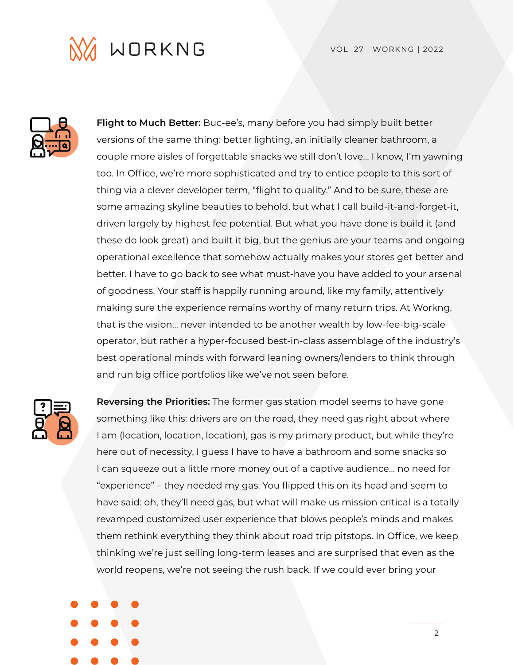VOL 27 | WORKNG | 2022





**Flight to Much Better:** Buc-ee's, many before you had simply built better versions of the same thing: better lighting, an initially cleaner bathroom, a couple more aisles of forgettable snacks we still don't love… I know, I'm yawning too. In Office, we're more sophisticated and try to entice people to this sort of thing via a clever developer term, "flight to quality." And to be sure, these are some amazing skyline beauties to behold, but what I call build-it-and-forget-it, driven largely by highest fee potential. But what you have done is build it (and these do look great) and built it big, but the genius are your teams and ongoing operational excellence that somehow actually makes your stores get better and better. I have to go back to see what must-have you have added to your arsenal of goodness. Your staff is happily running around, like my family, attentively making sure the experience remains worthy of many return trips. At Workng, that is the vision… never intended to be another wealth by low-fee-big-scale operator, but rather a hyper-focused best-in-class assemblage of the industry's best operational minds with forward leaning owners/lenders to think through and run big office portfolios like we've not seen before.



**Reversing the Priorities:** The former gas station model seems to have gone something like this: drivers are on the road, they need gas right about where I am (location, location, location), gas is my primary product, but while they're here out of necessity, I guess I have to have a bathroom and some snacks so I can squeeze out a little more money out of a captive audience… no need for "experience" – they needed my gas. You flipped this on its head and seem to have said: oh, they'll need gas, but what will make us mission critical is a totally revamped customized user experience that blows people's minds and makes them rethink everything they think about road trip pitstops. In Office, we keep thinking we're just selling long-term leases and are surprised that even as the world reopens, we're not seeing the rush back. If we could ever bring your